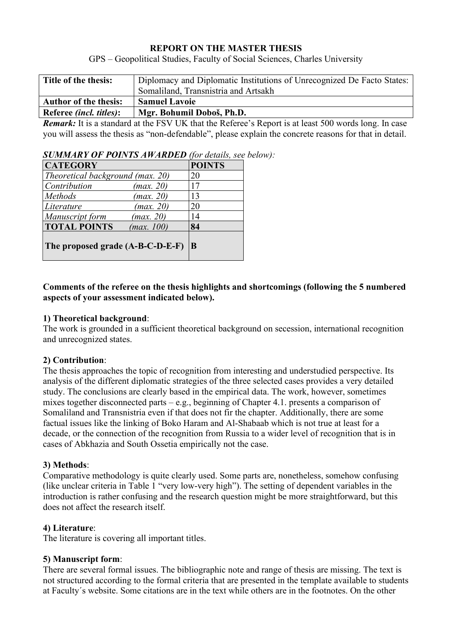#### **REPORT ON THE MASTER THESIS**

GPS – Geopolitical Studies, Faculty of Social Sciences, Charles University

| Title of the thesis:            | Diplomacy and Diplomatic Institutions of Unrecognized De Facto States: |  |  |
|---------------------------------|------------------------------------------------------------------------|--|--|
|                                 | Somaliland, Transnistria and Artsakh                                   |  |  |
| <b>Author of the thesis:</b>    | <b>Samuel Lavoie</b>                                                   |  |  |
| Referee <i>(incl. titles)</i> : | Mgr. Bohumil Doboš, Ph.D.                                              |  |  |

*Remark:* It is a standard at the FSV UK that the Referee's Report is at least 500 words long. In case you will assess the thesis as "non-defendable", please explain the concrete reasons for that in detail.

| <b>SUMMARY OF POINTS AWARDED</b> (for details, see below): |  |  |  |  |  |
|------------------------------------------------------------|--|--|--|--|--|
|------------------------------------------------------------|--|--|--|--|--|

| <b>CATEGORY</b>                   | <b>POINTS</b> |
|-----------------------------------|---------------|
| Theoretical background (max. 20)  | 20            |
| Contribution<br>(max. 20)         | 17            |
| Methods<br>(max. 20)              | 13            |
| (max. 20)<br>Literature           | 20            |
| Manuscript form<br>(max. 20)      | 14            |
| <b>TOTAL POINTS</b><br>(max. 100) | 84            |
| The proposed grade (A-B-C-D-E-F)  | B             |

# **Comments of the referee on the thesis highlights and shortcomings (following the 5 numbered aspects of your assessment indicated below).**

#### **1) Theoretical background**:

The work is grounded in a sufficient theoretical background on secession, international recognition and unrecognized states.

# **2) Contribution**:

The thesis approaches the topic of recognition from interesting and understudied perspective. Its analysis of the different diplomatic strategies of the three selected cases provides a very detailed study. The conclusions are clearly based in the empirical data. The work, however, sometimes mixes together disconnected parts – e.g., beginning of Chapter 4.1. presents a comparison of Somaliland and Transnistria even if that does not fir the chapter. Additionally, there are some factual issues like the linking of Boko Haram and Al-Shabaab which is not true at least for a decade, or the connection of the recognition from Russia to a wider level of recognition that is in cases of Abkhazia and South Ossetia empirically not the case.

# **3) Methods**:

Comparative methodology is quite clearly used. Some parts are, nonetheless, somehow confusing (like unclear criteria in Table 1 "very low-very high"). The setting of dependent variables in the introduction is rather confusing and the research question might be more straightforward, but this does not affect the research itself.

# **4) Literature**:

The literature is covering all important titles.

# **5) Manuscript form**:

There are several formal issues. The bibliographic note and range of thesis are missing. The text is not structured according to the formal criteria that are presented in the template available to students at Faculty´s website. Some citations are in the text while others are in the footnotes. On the other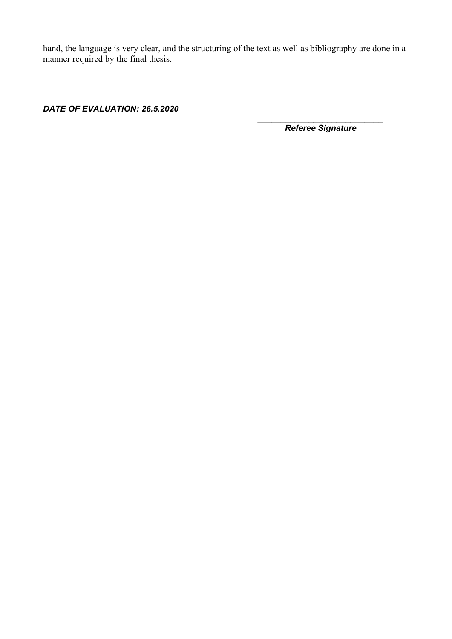hand, the language is very clear, and the structuring of the text as well as bibliography are done in a manner required by the final thesis.

*DATE OF EVALUATION: 26.5.2020* 

*\_\_\_\_\_\_\_\_\_\_\_\_\_\_\_\_\_\_\_\_\_\_\_\_\_\_\_ Referee Signature*